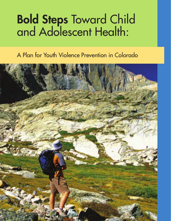# **Bold Steps** Toward Child and Adolescent Health:

A Plan for Youth Violence Prevention in Colorado

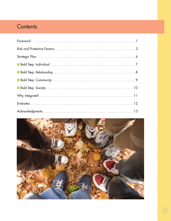# Contents

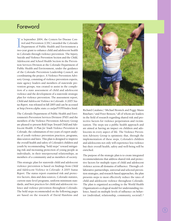# <span id="page-4-0"></span>Foreword

In September 2004, the Centers for Disease Control and Prevention (CDC) awarded the Colorado<br>Department of Public Health and Environment a<br>two-year grant to enhance child and adolescent health n September 2004, the Centers for Disease Control and Prevention (CDC) awarded the Colorado Department of Public Health and Environment a in Colorado through violence prevention. The Injury, Suicide and Violence Prevention Section and the Child, Adolescent and School Health Section in the Prevention Services Division at the Colorado Department of Public Health and Environment, under the guidance of the Colorado Prevention Leadership Council, are coordinating the project. A Violence Prevention Advisory Group, consisting of violence prevention experts, state agency leaders and members of statewide prevention groups, was created to assist in the completion of a state assessment of child and adolescent violence and the development of a statewide strategic plan for violence prevention. The assessment report, *Child and Adolescent Violence in Colorado: A 2005 Status Report*, was released in fall 2005 and can be accessed at<http://www.cdphe.state.co.us/ps/YVPP/index.html>.

The Colorado Department of Public Health and Environment's Prevention Services Division (PSD) and the members of the Violence Prevention Advisory Group are pleased to present *Bold Steps Toward Child and Adolescent Health: A Plan for Youth Violence Prevention in Colorado*, the culmination of two years of expert analysis of youth violence prevention practices, programs, data sources and laws. This plan is designed to improve the overall health and safety of Colorado's children and youth by recommending "bold steps" toward mitigating risk and increasing protection of young people as individuals, in their interpersonal relationships, as members of a community and as members of society.

This strategic plan for statewide child and adolescent violence prevention is based on findings from *Child and Adolescent Violence in Colorado: A 2005 Status Report*. The status report examined risk and protective factors, data and data sources, Colorado statutes, current state-level programs, uniform minimum standards, and best practices for child and adolescent violence and violence prevention throughout Colorado. The bold steps recommended on the following pages are based on the research of David Hawkins and



Richard Catalano,<sup>1</sup> [Michael Resnick and Peggy Mann](#page-15-0) Rinehart,2 and Peter Benson,3 all of whom are leaders in the field of research regarding shared risk and protective factors for violence perpetration and victimization. The steps use a public health approach and are aimed at having an impact on children and adolescents in every aspect of life. The Violence Prevention Advisory Group is optimistic that, through the implementation of these steps, Colorado's children and adolescents not only will experience less violence but their overall health, safety and well-being will be enriched.

The purpose of the strategic plan is to create integrated recommendations that address shared risk and protective factors for multiple types of child and adolescent violence across all domains of influence. Through collaborative partnerships, universal and selected prevention strategies, and research-based approaches, the plan presents steps to most effectively reduce the rates of child and adolescent violence throughout Colorado. The plan is organized according to the World Health Organization's ecological model for understanding violence, based on multiple levels of influence on behavior (individual, relationship, community, societal[\).4](#page-15-0)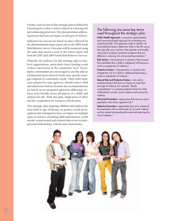Further, each section of this strategic plan is defined by a broad goal to reduce violence based on reducing risk and enhancing protection. The plan prioritizes addressing factors that have an impact on all types of violence.

Indicators for success are based on data collected for the aforementioned status report and on the 2005 Youth Risk Behavior Survey. Outcomes will be measured using the same data sources used in the status report and from the 2007 and 2009 Youth Risk Behavior Surveys.

Primarily, the audience for this strategic plan is statelevel organizations, particularly those funding youth violence prevention at the community level. Secondarily, communities are encouraged to use this plan as a framework upon which to build more specific strategies targeted to community needs. These bold steps, once adopted by state agencies, should reduce child and adolescent violence because the recommendations are based on an integrated approach addressing violence more broadly across all aspects of a child's and adolescent's life. With this plan, duplication of effort and the competition for resources will decrease.

This strategic plan targeting children and adolescents from birth to age 18 focuses on positive youth development and is designed to have an impact on multiple types of violence, including child maltreatment, youth suicide, sexual assault and violence that occurs in interpersonal relationships, schools and communities.

#### The following are some key terms used throughout the strategic plan:

**Public Health Approach**—a practical, goal-oriented and community-based approach for promoting and sustaining health. This approach seeks to identify risk and protective factors, determine when in the life course they typically occur and how they operate, and enable researchers to design preventive programs that are effective in reducing risk and promoting protection.<sup>5</sup>

**Risk Factors**—characteristics or situations that increase the probability that a child or adolescent will become a victim or perpetrator of violence.<sup>6</sup>

**Protective Factors**—characteristics or situations that mitigate the risk of a child or adolescent becoming a victim or perpetrator of violenc[e.7](#page-15-0)

**Shared Risk and Protective Factors**—risk and/or protective factors that have an impact on more than one type of violence. For example, "family connectedness" is a shared protective factor for child maltreatment, suicide, sexual violence and community violence.

**Universal Prevention**—approaches that serve an entire population who share a general ris[k.8](#page-15-0)

**Selective Prevention**—approaches that serve subsets of the population with an enhanced risk of youth violence and are aimed at preventing the onset and reducing the risk of violenc[e.9](#page-15-0)

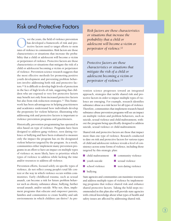# <span id="page-6-0"></span>Risk and Protective Factors

**Over the years, the field of violence prevention**<br>has developed a framework of risk and pro-<br>tective factors used to target efforts to stem<br>rates of violence in communities. Risk factors are those has developed a framework of risk and protective factors used to target efforts to stem characteristics or situations that increase the probability that a child or adolescent will become a victim or perpetrator of violence. Protective factors are those characteristics or situations that mitigate the risk of a child or adolescent becoming a victim or perpetrator of violence. Prevention science research suggests that the most effective methods for promoting positive youth development and preventing problem behaviors involve addressing both risk and protective factor[s.10](#page-15-0) It is difficult to develop high levels of protection in the face of high levels of risk, suggesting that children who are exposed to very few protective factors may benefit not only from increased protective factors but also from risk-reduction strategie[s.11](#page-15-0) This framework has been advantageous in helping practitioners and academics understand how individuals develop the propensity for violent behavior, illustrating why addressing risk and protective factors is important to violence prevention programs and practitioners.

Historically, prevention programming has operated in silos based on type of violence. Programs have been designed to address gang violence, teen dating violence or bullying and have been evaluated to measure only the impact the program has on the designated violent behavior targeted by the program. As a result, communities either implement many prevention programs in an effort to have an impact on multiple types of violence or, more likely, have to prioritize which types of violence to address while lacking the time and/or resources to address all violence.

Prevention efforts, focused solely on specific types of violence, do not reflect young people's total life context or the way in which violence occurs within communities. Early childhood trauma, such as sexual assault, can become a risk for future problem behavior such as obesity, substance abuse, bullying, further sexual assault, and/or suicide. Why not, then, implement programs that educate and empower parents, families and communities to create healthy and safe environments in which children can thrive? As pre-

*[Risk factors are those characteristics](#page-15-0) or situations that increase the probability that a child or adolescent will become a victim or perpetrator of violence.12*

*Protective factors are those characteristics or situations that mitigate the risk of a child or adolescent becoming a victim or perpetrator of violence.13*

vention science progresses toward an integrated approach, strategies that tackle shared risk and protective factors in order to impact multiple types of violence are emerging. For example, research identifies substance abuse as a risk factor for all types of violence. Therefore, communities that implement research-based substance abuse prevention programs will see an impact on multiple violent and problem behaviors, such as suicide, sexual violence and child maltreatment, without the program being specifically designed to address suicide, sexual violence or child maltreatment.

Shared risk and protective factors are those that impact more than one type of violence. Research conducted to date on risk and protective factors for various types of child and adolescent violence reveals a level of consistency across some forms of violence, including those targeted by this strategic plan:

- child maltreatment community violence
- youth suicide sexual violence
- 
- school violence teen dating violence
- 
- bullying

State agencies and communities can maximize resources and address multiple types of violence by implementing programs that reduce shared risk and enhance shared protective factors. Taking the bold steps recommended in this plan also will provide state agencies with critical knowledge about what types of health and safety issues are affected by addressing shared risk.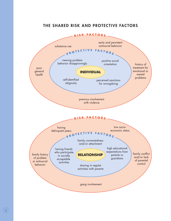### **THE SHARED RISK AND PROTECTIVE FACTORS**

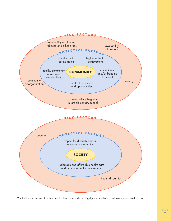

The bold steps outlined in this strategic plan are intended to highlight strategies that address these shared factors.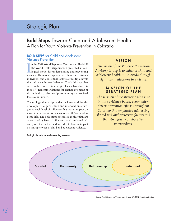# <span id="page-9-0"></span>Strategic Plan

### **Bold Steps** Toward Child and Adolescent Health: A Plan for Youth Violence Prevention in Colorado

#### **BOLD STEPS** for Child and Adolescent Violence Prevention

In the 2002 World Report on Violence and Health,<sup>14</sup><br>the World Health Organization presented an eco-<br>logical model for understanding and preventing<br>violence. This model explores the relationship between n the 2002 World Report on Violence and Health, 14 the World Health Organization presented an eco-**L** logical model for understanding and preventing individual and contextual factors at multiple levels that influence human behavior. The bold steps that serve as the core of this strategic plan are based on this mode[l.15](#page-15-0) Recommendations for change are made at the individual, relationship, community and societal levels of influence.

The ecological model provides the framework for the development of prevention and intervention strategies at each level of influence that has an impact on violent behavior at every stage of a child's or adolescent's life. The bold steps presented in this plan are categorized by level of influence, based on shared risk and protective factors, and intended to have an impact on multiple types of child and adolescent violence.

#### **VISION**

*The vision of the Violence Prevention Advisory Group is to enhance child and adolescent health in Colorado through significant reductions in violence.*

#### **MISSION OF THE STRATEGIC PLAN**

*The mission of the strategic plan is to initiate evidence-based, communitydriven prevention efforts throughout Colorado that emphasize addressing shared risk and protective factors and that strengthen collaborative partnerships.*



**Ecological model for understanding violence**

Source: *World Report on Violence and Health,* World Health Organization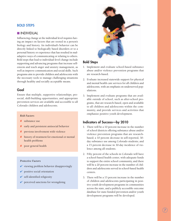#### <span id="page-10-0"></span>**BOLD STEPS**

#### ■ INDIVIDUAL

Influencing change at the individual level requires having an impact on factors that are rooted in a person's biology and history. An individual's behavior can be directly linked to biologically based disorders or to a personal history or experience that has resulted in maladaptive ways of communicating or relating to others. Bold steps that lead to individual-level change include supporting and advancing programs that increase selfesteem and teach anger and anxiety management, as well as improve communication and social skills. Such programs aim to provide children and adolescents with the necessary tools to manage challenging situations through healthy and socially acceptable means.

#### **Goal**

Ensure that multiple, supportive relationships; prosocial, skill-building opportunities; and appropriate prevention services are available and accessible to all Colorado children and adolescents.

#### *Risk Factors*

- ✘ substance use
- early and persistent antisocial behavior
- ✘ previous involvement with violence
- ✘ history of treatment for emotional or mental health problems
- ✘ poor general health

#### *Protective Factors*

- $\triangleright$  viewing problem behavior disapprovingly
- $\checkmark$  positive social orientation
- $\triangleright$  self-identified religiosity
- $\vee$  perceived sanctions for wrongdoing



#### **Bold Steps**

- 1. Implement and evaluate school-based substance abuse and/or violence prevention programs that are research-based.
- 2. Evaluate increased statewide support for physical and mental health care services for all children and adolescents, with an emphasis on underserved populations.
- 3. Implement and evaluate programs that are available outside of school, such as after-school programs, that are research-based, open and available to all children and adolescents within the community, and provide services and activities that emphasize positive youth development.

#### **Indicators of Success—by 2010**

- 1. There will be a 10 percent increase in the number of school districts offering substance abuse and/or violence prevention programs that are researchbased; a 10 percent decrease in self-reported, 30 day substance use among Colorado students; and a 15 percent decrease in 30-day incidence of violence among all students.
- 2. Fifty percent of the schools in Colorado will have a school-based health center, with adequate funds to support the entire school community, and there will be a 20 percent increase in the number of children and adolescents served in school-based health centers.
- 3. There will be a 15 percent increase in the number of children and adolescents participating in positive youth development programs in communities across the state, and a publicly accessible outcome database for state-funded prevention and/or youth development programs will be developed.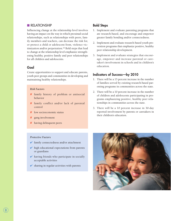#### <span id="page-11-0"></span>■ RELATIONSHIP

Influencing change at the relationship level involves having an impact on the way in which proximal social relationships, such as relationships with peers, family members and teachers, can decrease the risk for, or protect a child or adolescent from, violence victimization and/or perpetration[.16](#page-15-0) Bold steps that lead to change at the relationship level emphasize strengthening healthy, positive family and peer relationships for all children and adolescents.

#### **Goal**

Create opportunities to support and educate parents, youth peer groups and communities in developing and maintaining healthy relationships.

#### *Risk Factors*

- ✘ family history of problem or antisocial behavior
- ✘ family conflict and/or lack of parental control
- ✘ low socioeconomic status
- ✘ gang involvement
- ✘ having delinquent peers

#### **Bold Steps**

- 1. Implement and evaluate parenting programs that are research-based, and encourage and empower greater family bonding and/or connectedness.
- 2. Implement and evaluate research-based youth prevention programs that emphasize positive, healthy peer relationship development.
- 3. Implement and evaluate strategies that encourage, empower and increase parental or caretaker's involvement in schools and in children's education.

#### **Indicators of Success—by 2010**

- 1. There will be a 15 percent increase in the number of families served by existing research-based parenting programs in communities across the state.
- 2. There will be a 10 percent increase in the number of children and adolescents participating in programs emphasizing positive, healthy peer relationships in communities across the state.
- 3. There will be a 10 percent increase in 30-day reported involvement by parents or caretakers in their children's education.

#### *Protective Factors*

- ✔ family connectedness and/or attachment
- $\blacktriangleright$  high educational expectations from parents or guardians
- $\triangleright$  having friends who participate in socially acceptable activities
- $\triangleright$  sharing in regular activities with parents

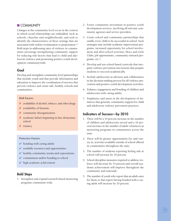#### <span id="page-12-0"></span>■ COMMUNITY

Changes at the community level occur in the context in which social relationships are embedded, such as schools, churches and neighborhoods, and seek to identify the characteristics of these settings that are associated with violent victimization or perpetratio[n.17](#page-15-0) Bold steps in addressing rates of violence in communities encourage strengthening community support for reducing risk factors that lead to child and adolescent violence and promoting positive youth development communitywide.

#### **Goal**

Develop and strengthen community-level partnerships that include youth and that provide information and education to improve the coordination of services that prevent violence and create safe, healthy schools and communities.

#### *Risk Factors*

- ✘ availability of alcohol, tobacco, and other drugs
- ✘ availability of firearms
- ✘ community disorganization
- ✘ academic failure beginning in late elementary school
- ✘ truancy

#### *Protective Factors*

- $\triangleright$  bonding with caring adults
- $\triangleright$  available resources and opportunities
- $\triangleright$  healthy community norms and expectations
- ✔ commitment and/or bonding to school
- $\blacktriangleright$  high academic achievement

#### **Bold Steps**

1. Strengthen and expand research-based mentoring programs community-wide.

- 2. Foster community investment in positive youth development services, involving all relevant community agencies and service providers.
- 3. Create school and community partnerships that enable every child to be successful in school. Such strategies may include academic improvement programs, increased opportunity for school involvement and after-school activities (Boys and Girls Clubs, job opportunities, community outreach programs, etc.).
- 4. Develop and use school-based curricula that integrate violence prevention into lessons that prepare students to succeed academically.
- 5. Include adolescents as advisors and collaborators in the decision-making process for all violence prevention and positive youth development activities.
- 6. Enhance engagement and bonding of children and adolescents with caring adults.
- 7. Emphasize and assist in the development of initiatives that generate community support for child and adolescent violence prevention practices.

#### **Indicators of Success—by 2010**

- 1. There will be a 10 percent increase in the number of children and adolescents served and a 10 percent increase in the number of adult volunteers in mentoring programs in communities across the state.
- 2. There will be greater opportunities for, and variety in, activities available outside of school offered in communities throughout the state.
- 3. The number of students reporting feeling safe at school will increase by 10 percent.
- 4. School discipline measures required to address violence will decrease by 15 percent and overall academic achievement will improve throughout the community and statewide.
- 5. The number of youth who report that an adult cares for them or that report having bonded with a caring adult will increase by 10 percent.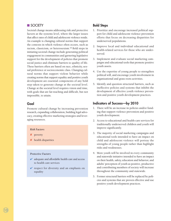#### <span id="page-13-0"></span>■ SOCIETY

Societal change means addressing risk and protective factors at the systems level, where the larger issues that affect rates of child and adolescent violence reside. An example is changing cultural norms that support the contexts in which violence often occurs, such as racism, classicism, or heterosexis[m.18](#page-15-0) Bold steps in initiating societal change include generating political engagement in communities and garnering legislative support for the development of policies that promote social justice and eliminate barriers to quality of life. These barriers often are based on race, ethnicity, sexual preference or socioeconomic class. Changing cultural norms that support violent behavior while creating norms that support equality and positive youth development are essential components of any bold step taken to generate change at the societal level. Change at the societal level requires vision and time, with goals that are far-reaching and difficult, but not impossible, to attain.

#### **Goal**

Promote cultural change by increasing prevention research, expanding collaboration, building legal advocacy, creating effective marketing strategies and leveraging resources.

#### *Risk Factors*

✘ poverty

✘ health disparities

#### *Protective Factors*

- $\vee$  adequate and affordable health care and access to health care services
- $\vee$  respect for diversity and an emphasis on equality

#### **Bold Steps**

- 1. Prioritize and encourage increased political support for child and adolescent violence prevention efforts that focus on decreasing disparities for underserved populations.
- 2. Improve local and individual educational and health-related services for those who are underserved.
- 3. Implement and evaluate social marketing campaigns and educational tools that promote positive youth assets.
- 4. Use the expertise of young people to strengthen political will, and encourage youth involvement in organizational and grass roots activities.
- 5. Identify and question structural barriers, such as ineffective policies and systems that inhibit the development of effective youth violence prevention and positive youth development practices.

#### **Indicators of Success—by 2010**

- 1. There will be an increase in policies and/or funding that support violence prevention and positive youth development.
- 2. Access to educational and health-care services for traditionally underserved children and youth will improve significantly.
- 3. The majority of social marketing campaigns and educational tools intended to have an impact on child and adolescent violence will portray the strengths of young people rather than highlight risks and weaknesses.
- 4. More youth will be involved in every community and statewide initiative intended to have an impact on their health, safety, education and behavior, and adults' perception of youth as positive, productive and contributing members of society will increase throughout the community and statewide.
- 5. Former structural barriers will be replaced by policies and systems that are proven effective and use positive youth development practices.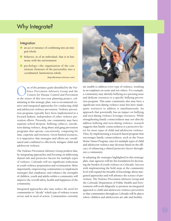# <span id="page-14-0"></span>Why Integrate?

#### **Integration**

- an act or instance of combining into an integral whole.
- behavior, as of an individual, that is in harmony with the environment
- *psychology*—the organization of the constituent elements of the personality into a coordinated, harmonious whole.

(**<http://dictionary.reference.com/>**)

The of the primary goals identified by the Vio-<br>
Lence Prevention Advisory Group and the<br>
Centers for Disease Control and Prevention<br>
at the outset of this two-year planning project, cullence Prevention Advisory Group and the Centers for Disease Control and Prevention minating in this strategic plan, was to recommend creative and integrated approaches for conducting child and adolescent violence prevention. Violence prevention programs typically have been implemented in a focused fashion, independent of other violence prevention efforts. Presently, one community may have separate school dropout, bullying, tobacco, suicide, teen-dating violence, drug abuse and gang prevention programs that operate concurrently, competing for time, expertise and resources. Given limited resources, it is imperative that strategies and efforts are coordinated and combined to effectively mitigate child and adolescent violence.

The Violence Prevention Advisory Group predicts that, by integrating approaches and focusing on addressing shared risk and protective factors for multiple types of violence, Colorado will see significant reductions in youth violence perpetration and victimization. More importantly, empowering communities to implement strategies that emphasize and enhance the strengths of children, youth and adults within a community will improve the overall safety, health and happiness of the community.

Integrated approaches also may reduce the need for communities to "decide" which type of violence is most severe and in need of action. Communities currently



are unable to address every type of violence, resulting in an emphasis on some and not others. For example, a community may identify bullying as a pressing issue and dedicate resources to a specific bullying prevention program. This same community also may have a significant teen-dating violence issue but have inadequate resources to address it simultaneously. An approach that potentially has an impact on bullying and teen-dating violence leverages resources. While strengthening family connectedness may not directly address bullying and teen-dating violence, research suggests that family connectedness is a protective factor for most types of child and adolescent violence. Thus, by implementing a research-based program that encourages family connectedness, such as the Nurse Home Visitor Program, rates for multiple types of child and adolescent violence may decrease based on the efficacy of enhancing a shared protective factor throughout a community.

In adopting the strategies highlighted in this strategic plan, state agencies will lay the foundation for decreasing the burden of youth violence in Colorado. Success with implementing the bold steps at the community level will expand the breadth of knowledge about integrated approaches and will advance the science of prevention. The Violence Prevention Advisory Group and the Colorado Department of Public Health and Environment will work diligently to promote an integrated approach to child and adolescent violence prevention so that communities throughout Colorado will be places where children and adolescents are safe and healthy.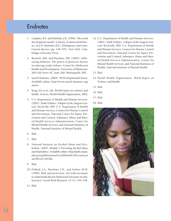# <span id="page-15-0"></span>**Endnotes**

- 1. Catalano, R.F., and Hawkins, J.D. (1996). The social development model: A theory of antisocial behavior. In J.D. Hawkins (Ed.), *Delinquency and crime: Current theories* (pp. 149–197). New York: Cambridge University Press.
- 2. Resnick, MD, and Rinehart, PM. (2004). Influencing behavior: The power of protective factors in reducing youth violence. Center for Adolescent Health and Development, University of Minnesota. 200 Oak Street SE, Suite 260, Minneapolis, MN.
- 3. Search Institute. (2004). 40 Developmental Assets. [Available online: http://www.search-institute.org/](http://www.search-institute.org/assets) assets.
- 4. Krug, EG et al., eds. World report on violence and health. Geneva, World Health Organization, 2002.
- 5. U.S. Department of Health and Human Services. (2001). *Youth Violence: A Report of the Surgeon General.* Rockville, MD: U.S. Department of Health and Human Services, Centers for Disease Control and Prevention, National Center for Injury Prevention and Control; Substance Abuse and Mental Health Services Administration, Center for Mental Health Services; and National Institutes of Health, National Institute of Mental Health.
- 6. Ibid.
- 7. Ibid.
- 8. National Institute on Alcohol Abuse and Alcoholism. (2005). *Module 3: Preventing Alcohol Abuse and Dependence*. Available online: http://pubs.niaaa. [nih.gov/publications/Social/Module3Prevention/](http://pubs.niaaa.nih.gov/publications/Social/Module3Prevention/mODULE3.HTML) mODULE3.HTML.
- 9. Ibid.
- 10. Pollard, J.A., Hawkins, J.D., and Arthur, M.W. (1999). Risk and protection: Are both necessary to understand diverse behavioral outcomes in adolescence? *Social Work Research*, 23 (3), 145–158.
- 12. U.S. Department of Health and Human Services. (2001). *Youth Violence: A Report of the Surgeon General.* Rockville, MD: U.S. Department of Health and Human Services, Centers for Disease Control and Prevention, National Center for Injury Prevention and Control; Substance Abuse and Mental Health Services Administration, Center for Mental Health Services; and National Institutes of Health, National Institute of Mental Health.
- 13. Ibid.
- 14. World Health Organization. *World Report on Violence and Health.*
- 15. Ibid.
- 16. Ibid.
- 17. Ibid.
- 18. Ibid.



11. Ibid.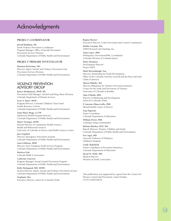# <span id="page-16-0"></span>Acknowledgments

#### **PROJECT COORDINATOR**

**Jarrod Hindman, MS** Youth Violence Prevention Coordinator Program Manager, Office of Suicide Prevention Prevention Services Division Colorado Department of Public Health and Environment

#### **PROJECT PRIMARY INVESTIGATOR**

**Shannon Breitzman, MA** Director; Injury, Suicide and Violence Prevention Unit Prevention Services Division Colorado Department of Public Health and Environment

#### VIOLENCE PREVENTION ADVISORY GROUP

**Karen Abrahamson, MSW, MS** Prevention Field Manager, Alcohol and Drug Abuse Division Colorado Department of Human Services

**Scott A. Bates, MSW** Program Director, Colorado Children's Trust Fund Family Resource Centers Colorado Department of Public Health and Environment

**Anne-Marie Braga, LCSW** Adolescent Health Program Director Colorado Department of Public Health and Environment

**Sharry Erzinger, DrPH** Interim Director of Community Health Sciences Health and Behavioral Sciences University of Colorado at Denver and Health Sciences Center

**Jose Esquibel** Director, Interagency Prevention Systems Colorado Department of Public Health and Environment

**Gina Febbraro, MPH** Director, Tony Grampsas Youth Services Program Colorado Department of Public Health and Environment

**Marleen Fish** Colorado Build A Generation

**Catherine Guerrero** Program Manager, Sexual Assault Prevention Program Colorado Department of Public Health and Environment

**Holly Hedegaard, MD, MSPH** Section Director; Injury, Suicide and Violence Prevention Section Colorado Department of Public Health and Environment

**Stephanie Hoy** Executive Director, Assets for Colorado Youth **Regina Huerter** Executive Director, Crime Prevention and Control Commission **Debbie Layman, MA** OMNI Research and Training, Inc.

**Anna Lopez, MPA** Delinquency Prevention/DMC Coordinator

Colorado Division of Criminal Justice **Myles Mendoza**

Development Director Project PAVE

**Mark Messenbaugh, Esq** Director, Partnership for Youth Development Office of the Colorado Attorney General and the Boys and Girls Clubs of America

**Sharon Mihalic, MA** Director, Blueprints for Violence Prevention Initiative Center for the Study and Prevention of Violence University of Colorado at Boulder

**Alan O'Hashi, MPA** Director of Marketing and Development Assets for Colorado Youth

**P. Antonio Olmos-Gallo, PhD** Mental Health Center of Denver

**Stan Paprocki** Senior Consultant Colorado Department of Education

**William Porter, PhD** Creating Caring Communities

**Barbara Ritchen, BSN, MA** Branch Director; Women, Children and Youth Colorado Department of Public Health and Environment

**Eric Sigel, MD** Associate Professor of Pediatrics Children's Hospital

**Cindy Wakefield** Senior Consultant in Prevention Initiatives Colorado Department of Education

**David W. Wells, MD** Medical Director Division of Youth Corrections

This publication was supported by a grant from the Centers for Disease Control and Prevention, Grant Number U17/CCU824338-02.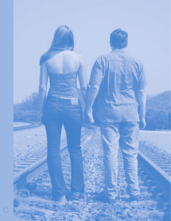